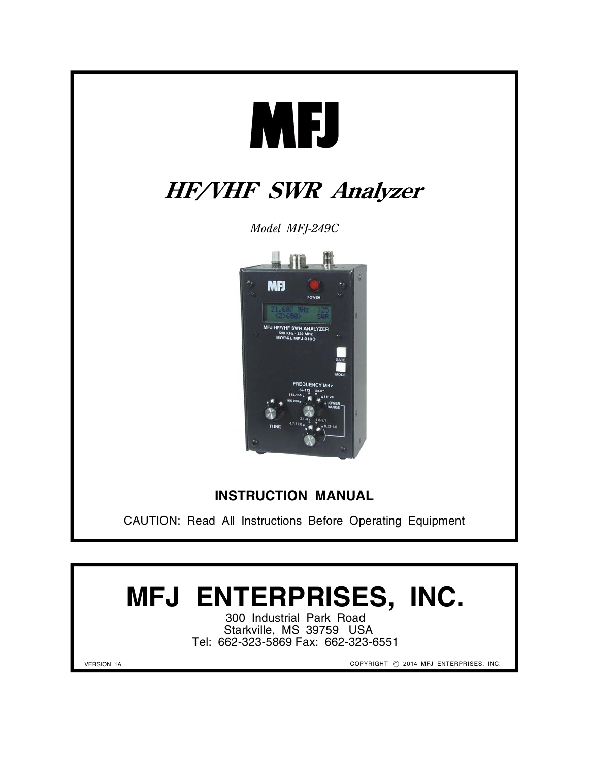

CAUTION: Read All Instructions Before Operating Equipment

# **MFJ ENTERPRISES, INC.**

300 Industrial Park Road Starkville, MS 39759 USA Tel: 662-323-5869 Fax: 662-323-6551

VERSION 1A

COPYRIGHT  $\odot$  2014 MFJ ENTERPRISES, INC.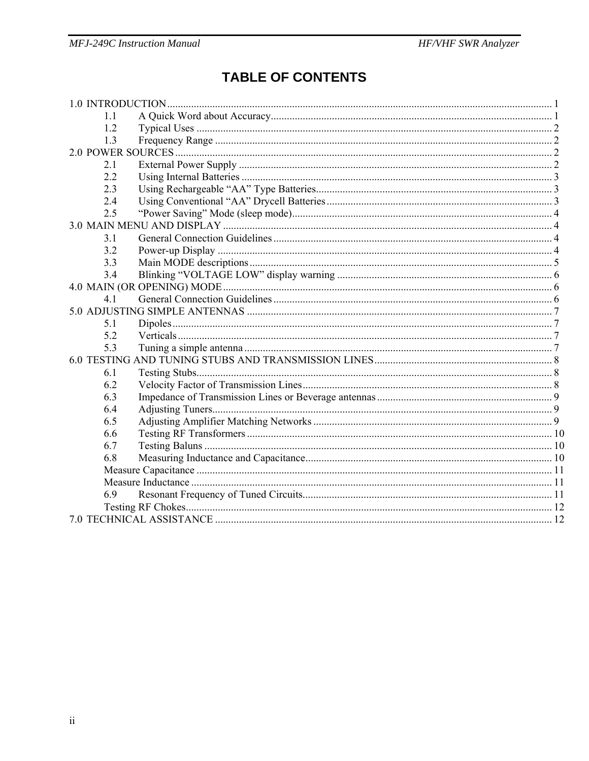# **TABLE OF CONTENTS**

| 11  |  |
|-----|--|
| 1.2 |  |
| 1.3 |  |
|     |  |
| 2.1 |  |
| 2.2 |  |
| 2.3 |  |
| 2.4 |  |
| 2.5 |  |
|     |  |
| 3.1 |  |
| 3.2 |  |
| 3.3 |  |
| 3.4 |  |
|     |  |
| 41  |  |
|     |  |
| 5.1 |  |
| 5.2 |  |
| 5.3 |  |
|     |  |
| 6.1 |  |
| 6.2 |  |
| 6.3 |  |
| 6.4 |  |
| 6.5 |  |
| 6.6 |  |
| 6.7 |  |
| 6.8 |  |
|     |  |
|     |  |
| 6.9 |  |
|     |  |
|     |  |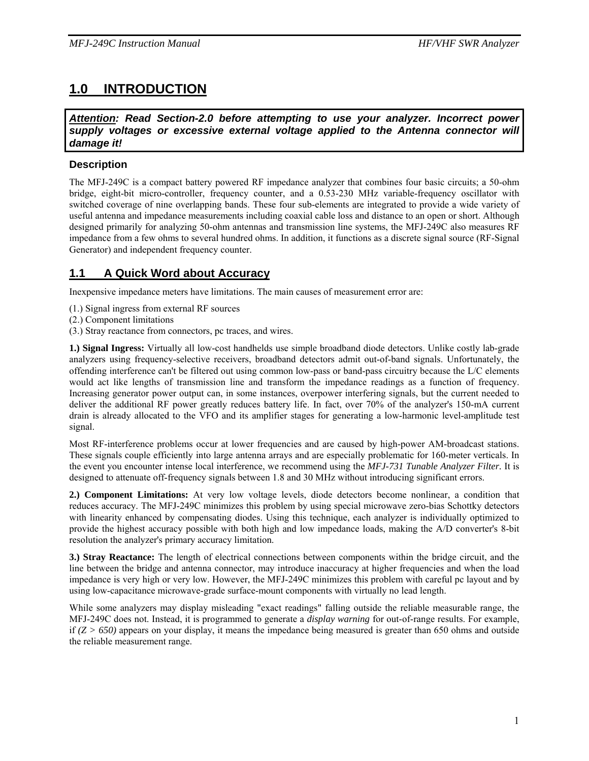# **1.0 INTRODUCTION**

*Attention: Read Section-2.0 before attempting to use your analyzer. Incorrect power supply voltages or excessive external voltage applied to the Antenna connector will damage it!*

#### **Description**

The MFJ-249C is a compact battery powered RF impedance analyzer that combines four basic circuits; a 50-ohm bridge, eight-bit micro-controller, frequency counter, and a 0.53-230 MHz variable-frequency oscillator with switched coverage of nine overlapping bands. These four sub-elements are integrated to provide a wide variety of useful antenna and impedance measurements including coaxial cable loss and distance to an open or short. Although designed primarily for analyzing 50-ohm antennas and transmission line systems, the MFJ-249C also measures RF impedance from a few ohms to several hundred ohms. In addition, it functions as a discrete signal source (RF-Signal Generator) and independent frequency counter.

## **1.1 A Quick Word about Accuracy**

Inexpensive impedance meters have limitations. The main causes of measurement error are:

- (1.) Signal ingress from external RF sources
- (2.) Component limitations
- (3.) Stray reactance from connectors, pc traces, and wires.

**1.) Signal Ingress:** Virtually all low-cost handhelds use simple broadband diode detectors. Unlike costly lab-grade analyzers using frequency-selective receivers, broadband detectors admit out-of-band signals. Unfortunately, the offending interference can't be filtered out using common low-pass or band-pass circuitry because the L/C elements would act like lengths of transmission line and transform the impedance readings as a function of frequency. Increasing generator power output can, in some instances, overpower interfering signals, but the current needed to deliver the additional RF power greatly reduces battery life. In fact, over 70% of the analyzer's 150-mA current drain is already allocated to the VFO and its amplifier stages for generating a low-harmonic level-amplitude test signal.

Most RF-interference problems occur at lower frequencies and are caused by high-power AM-broadcast stations. These signals couple efficiently into large antenna arrays and are especially problematic for 160-meter verticals. In the event you encounter intense local interference, we recommend using the *MFJ-731 Tunable Analyzer Filter.* It is designed to attenuate off-frequency signals between 1.8 and 30 MHz without introducing significant errors.

**2.) Component Limitations:** At very low voltage levels, diode detectors become nonlinear, a condition that reduces accuracy. The MFJ-249C minimizes this problem by using special microwave zero-bias Schottky detectors with linearity enhanced by compensating diodes. Using this technique, each analyzer is individually optimized to provide the highest accuracy possible with both high and low impedance loads, making the A/D converter's 8-bit resolution the analyzer's primary accuracy limitation.

**3.) Stray Reactance:** The length of electrical connections between components within the bridge circuit, and the line between the bridge and antenna connector, may introduce inaccuracy at higher frequencies and when the load impedance is very high or very low. However, the MFJ-249C minimizes this problem with careful pc layout and by using low-capacitance microwave-grade surface-mount components with virtually no lead length.

While some analyzers may display misleading "exact readings" falling outside the reliable measurable range, the MFJ-249C does not. Instead, it is programmed to generate a *display warning* for out-of-range results. For example, if *(Z > 650)* appears on your display, it means the impedance being measured is greater than 650 ohms and outside the reliable measurement range.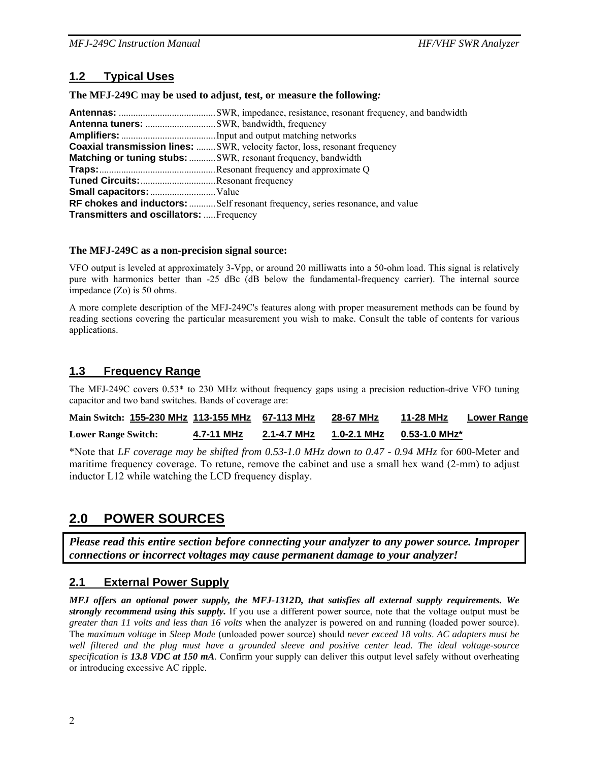## **1.2 Typical Uses**

**The MFJ-249C may be used to adjust, test, or measure the following***:* 

|                                          | <b>Coaxial transmission lines:</b> SWR, velocity factor, loss, resonant frequency |  |  |  |
|------------------------------------------|-----------------------------------------------------------------------------------|--|--|--|
|                                          | <b>Matching or tuning stubs:</b> SWR, resonant frequency, bandwidth               |  |  |  |
|                                          |                                                                                   |  |  |  |
| Tuned Circuits: Resonant frequency       |                                                                                   |  |  |  |
|                                          |                                                                                   |  |  |  |
|                                          | RF chokes and inductors: Self resonant frequency, series resonance, and value     |  |  |  |
| Transmitters and oscillators:  Frequency |                                                                                   |  |  |  |

#### **The MFJ-249C as a non-precision signal source:**

VFO output is leveled at approximately 3-Vpp, or around 20 milliwatts into a 50-ohm load. This signal is relatively pure with harmonics better than -25 dBc (dB below the fundamental-frequency carrier). The internal source impedance (Zo) is 50 ohms.

A more complete description of the MFJ-249C's features along with proper measurement methods can be found by reading sections covering the particular measurement you wish to make. Consult the table of contents for various applications.

#### **1.3 Frequency Range**

The MFJ-249C covers 0.53\* to 230 MHz without frequency gaps using a precision reduction-drive VFO tuning capacitor and two band switches. Bands of coverage are:

| Main Switch: 155-230 MHz 113-155 MHz 67-113 MHz |            |             | 28-67 MHz   | 11-28 MHz     | <b>Lower Range</b> |
|-------------------------------------------------|------------|-------------|-------------|---------------|--------------------|
| <b>Lower Range Switch:</b>                      | 4.7-11 MHz | 2.1-4.7 MHz | 1.0-2.1 MHz | 0.53-1.0 MHz* |                    |

\*Note that *LF coverage may be shifted from 0.53-1.0 MHz down to 0.47 - 0.94 MHz* for 600-Meter and maritime frequency coverage. To retune, remove the cabinet and use a small hex wand (2-mm) to adjust inductor L12 while watching the LCD frequency display.

## **2.0 POWER SOURCES**

*Please read this entire section before connecting your analyzer to any power source. Improper connections or incorrect voltages may cause permanent damage to your analyzer!* 

#### **2.1 External Power Supply**

*MFJ offers an optional power supply, the MFJ-1312D, that satisfies all external supply requirements. We strongly recommend using this supply.* If you use a different power source, note that the voltage output must be *greater than 11 volts and less than 16 volts* when the analyzer is powered on and running (loaded power source). The *maximum voltage* in *Sleep Mode* (unloaded power source) should *never exceed 18 volts*. *AC adapters must be well filtered and the plug must have a grounded sleeve and positive center lead. The ideal voltage-source specification is 13.8 VDC at 150 mA.* Confirm your supply can deliver this output level safely without overheating or introducing excessive AC ripple.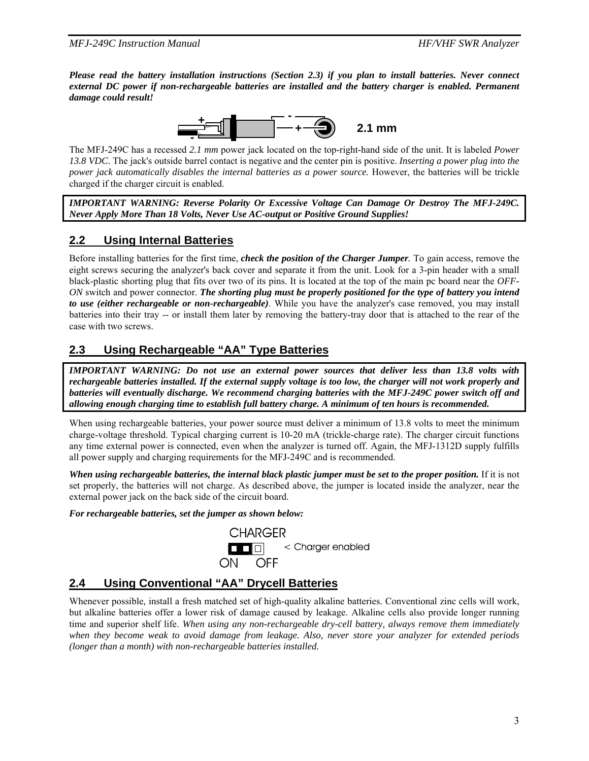*Please read the battery installation instructions (Section 2.3) if you plan to install batteries. Never connect external DC power if non-rechargeable batteries are installed and the battery charger is enabled. Permanent damage could result!* 



The MFJ-249C has a recessed *2.1 mm* power jack located on the top-right-hand side of the unit. It is labeled *Power 13.8 VDC*. The jack's outside barrel contact is negative and the center pin is positive. *Inserting a power plug into the power jack automatically disables the internal batteries as a power source.* However, the batteries will be trickle charged if the charger circuit is enabled.

*IMPORTANT WARNING: Reverse Polarity Or Excessive Voltage Can Damage Or Destroy The MFJ-249C. Never Apply More Than 18 Volts, Never Use AC-output or Positive Ground Supplies!* 

## **2.2 Using Internal Batteries**

Before installing batteries for the first time, *check the position of the Charger Jumper.* To gain access, remove the eight screws securing the analyzer's back cover and separate it from the unit. Look for a 3-pin header with a small black-plastic shorting plug that fits over two of its pins. It is located at the top of the main pc board near the *OFF-ON* switch and power connector. *The shorting plug must be properly positioned for the type of battery you intend to use (either rechargeable or non-rechargeable)*. While you have the analyzer's case removed, you may install batteries into their tray -- or install them later by removing the battery-tray door that is attached to the rear of the case with two screws.

## **2.3 Using Rechargeable "AA" Type Batteries**

*IMPORTANT WARNING: Do not use an external power sources that deliver less than 13.8 volts with rechargeable batteries installed. If the external supply voltage is too low, the charger will not work properly and batteries will eventually discharge. We recommend charging batteries with the MFJ-249C power switch off and allowing enough charging time to establish full battery charge. A minimum of ten hours is recommended.* 

When using rechargeable batteries, your power source must deliver a minimum of 13.8 volts to meet the minimum charge-voltage threshold. Typical charging current is 10-20 mA (trickle-charge rate). The charger circuit functions any time external power is connected, even when the analyzer is turned off. Again, the MFJ-1312D supply fulfills all power supply and charging requirements for the MFJ-249C and is recommended.

*When using rechargeable batteries, the internal black plastic jumper must be set to the proper position.* If it is not set properly, the batteries will not charge. As described above, the jumper is located inside the analyzer, near the external power jack on the back side of the circuit board.

#### *For rechargeable batteries, set the jumper as shown below:*



## **2.4 Using Conventional "AA" Drycell Batteries**

Whenever possible, install a fresh matched set of high-quality alkaline batteries. Conventional zinc cells will work, but alkaline batteries offer a lower risk of damage caused by leakage. Alkaline cells also provide longer running time and superior shelf life. *When using any non-rechargeable dry-cell battery, always remove them immediately when they become weak to avoid damage from leakage. Also, never store your analyzer for extended periods (longer than a month) with non-rechargeable batteries installed.*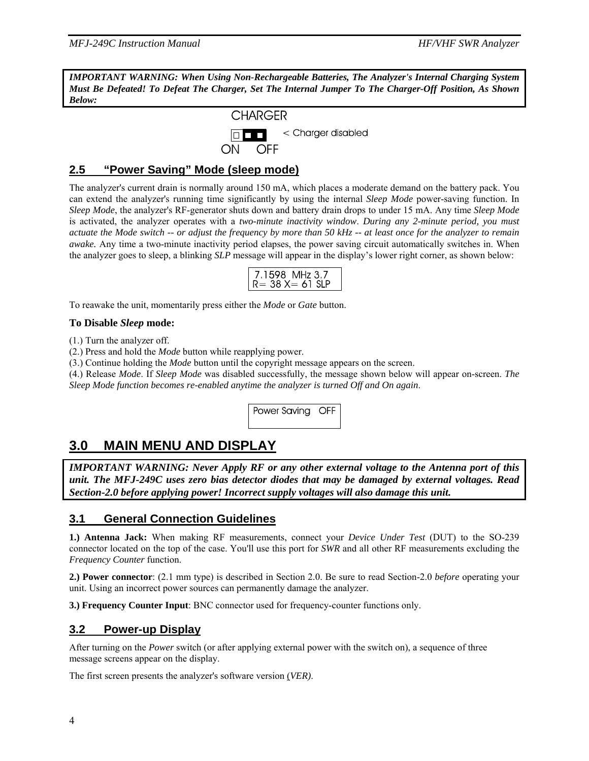*IMPORTANT WARNING: When Using Non-Rechargeable Batteries, The Analyzer's Internal Charging System Must Be Defeated! To Defeat The Charger, Set The Internal Jumper To The Charger-Off Position, As Shown Below:* 



#### **2.5 "Power Saving" Mode (sleep mode)**

The analyzer's current drain is normally around 150 mA, which places a moderate demand on the battery pack. You can extend the analyzer's running time significantly by using the internal *Sleep Mode* power-saving function. In *Sleep Mode*, the analyzer's RF-generator shuts down and battery drain drops to under 15 mA. Any time *Sleep Mode*  is activated, the analyzer operates with a *two-minute inactivity window*. *During any 2-minute period, you must actuate the Mode switch -- or adjust the frequency by more than 50 kHz -- at least once for the analyzer to remain awake.* Any time a two-minute inactivity period elapses, the power saving circuit automatically switches in. When the analyzer goes to sleep, a blinking *SLP* message will appear in the display's lower right corner, as shown below:

| 7.1598 MHz 3.7       |
|----------------------|
| $R = 38 X = 61 S$ IP |

To reawake the unit, momentarily press either the *Mode* or *Gate* button.

#### **To Disable** *Sleep* **mode:**

(1.) Turn the analyzer off.

(2.) Press and hold the *Mode* button while reapplying power.

(3.) Continue holding the *Mode* button until the copyright message appears on the screen.

(4.) Release *Mode*. If *Sleep Mode* was disabled successfully, the message shown below will appear on-screen. *The Sleep Mode function becomes re-enabled anytime the analyzer is turned Off and On again*.

Power Saving OFF

# **3.0 MAIN MENU AND DISPLAY**

*IMPORTANT WARNING: Never Apply RF or any other external voltage to the Antenna port of this unit. The MFJ-249C uses zero bias detector diodes that may be damaged by external voltages. Read Section-2.0 before applying power! Incorrect supply voltages will also damage this unit.* 

#### **3.1 General Connection Guidelines**

**1.) Antenna Jack:** When making RF measurements, connect your *Device Under Test* (DUT) to the SO-239 connector located on the top of the case. You'll use this port for *SWR* and all other RF measurements excluding the *Frequency Counter* function.

**2.) Power connector**: (2.1 mm type) is described in Section 2.0. Be sure to read Section-2.0 *before* operating your unit. Using an incorrect power sources can permanently damage the analyzer.

**3.) Frequency Counter Input**: BNC connector used for frequency-counter functions only.

#### **3.2 Power-up Display**

After turning on the *Power* switch (or after applying external power with the switch on), a sequence of three message screens appear on the display.

The first screen presents the analyzer's software version (*VER)*.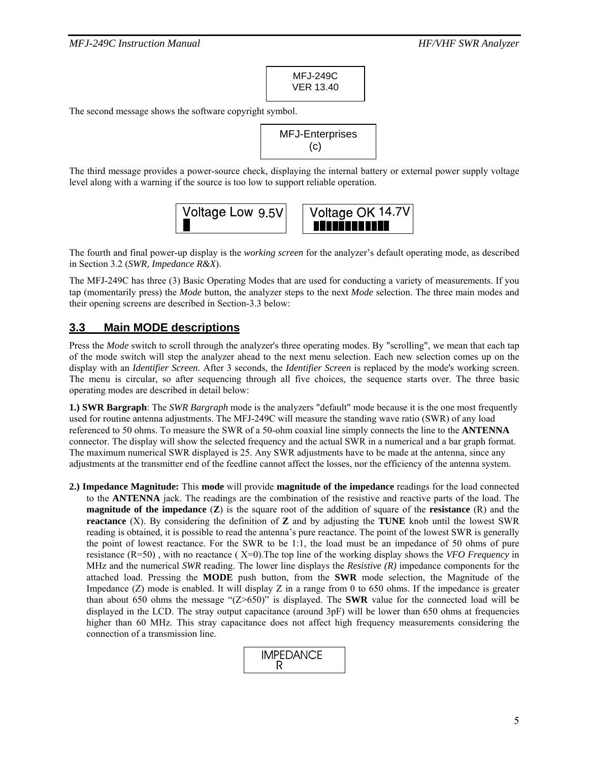MFJ-249C VER 13.40

The second message shows the software copyright symbol.

MFJ-Enterprises (c)

The third message provides a power-source check, displaying the internal battery or external power supply voltage level along with a warning if the source is too low to support reliable operation.



The fourth and final power-up display is the *working screen* for the analyzer's default operating mode, as described in Section 3.2 (*SWR, Impedance R&X*).

The MFJ-249C has three (3) Basic Operating Modes that are used for conducting a variety of measurements. If you tap (momentarily press) the *Mode* button, the analyzer steps to the next *Mode* selection. The three main modes and their opening screens are described in Section-3.3 below:

#### **3.3 Main MODE descriptions**

Press the *Mode* switch to scroll through the analyzer's three operating modes. By "scrolling", we mean that each tap of the mode switch will step the analyzer ahead to the next menu selection. Each new selection comes up on the display with an *Identifier Screen*. After 3 seconds, the *Identifier Screen* is replaced by the mode's working screen. The menu is circular, so after sequencing through all five choices, the sequence starts over. The three basic operating modes are described in detail below:

**1.) SWR Bargraph**: The *SWR Bargraph* mode is the analyzers "default" mode because it is the one most frequently used for routine antenna adjustments. The MFJ-249C will measure the standing wave ratio (SWR) of any load referenced to 50 ohms. To measure the SWR of a 50-ohm coaxial line simply connects the line to the **ANTENNA**  connector. The display will show the selected frequency and the actual SWR in a numerical and a bar graph format. The maximum numerical SWR displayed is 25. Any SWR adjustments have to be made at the antenna, since any adjustments at the transmitter end of the feedline cannot affect the losses, nor the efficiency of the antenna system.

**2.) Impedance Magnitude:** This **mode** will provide **magnitude of the impedance** readings for the load connected to the **ANTENNA** jack. The readings are the combination of the resistive and reactive parts of the load. The **magnitude of the impedance** (**Z**) is the square root of the addition of square of the **resistance** (R) and the **reactance** (X). By considering the definition of **Z** and by adjusting the **TUNE** knob until the lowest SWR reading is obtained, it is possible to read the antenna's pure reactance. The point of the lowest SWR is generally the point of lowest reactance. For the SWR to be 1:1, the load must be an impedance of 50 ohms of pure resistance (R=50) , with no reactance ( X=0).The top line of the working display shows the *VFO Frequency* in MHz and the numerical *SWR* reading. The lower line displays the *Resistive (R)* impedance components for the attached load. Pressing the **MODE** push button, from the **SWR** mode selection, the Magnitude of the Impedance (Z) mode is enabled. It will display Z in a range from 0 to 650 ohms. If the impedance is greater than about 650 ohms the message " $(Z>650)$ " is displayed. The **SWR** value for the connected load will be displayed in the LCD. The stray output capacitance (around 3pF) will be lower than 650 ohms at frequencies higher than 60 MHz. This stray capacitance does not affect high frequency measurements considering the connection of a transmission line.

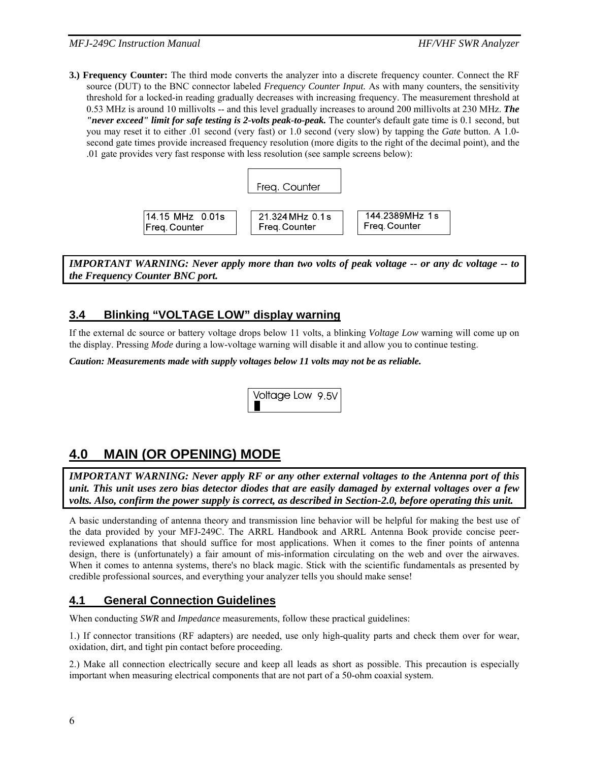**3.) Frequency Counter:** The third mode converts the analyzer into a discrete frequency counter. Connect the RF source (DUT) to the BNC connector labeled *Frequency Counter Input.* As with many counters, the sensitivity threshold for a locked-in reading gradually decreases with increasing frequency. The measurement threshold at 0.53 MHz is around 10 millivolts -- and this level gradually increases to around 200 millivolts at 230 MHz. *The "never exceed" limit for safe testing is 2-volts peak-to-peak.* The counter's default gate time is 0.1 second, but you may reset it to either .01 second (very fast) or 1.0 second (very slow) by tapping the *Gate* button. A 1.0 second gate times provide increased frequency resolution (more digits to the right of the decimal point), and the .01 gate provides very fast response with less resolution (see sample screens below):



*IMPORTANT WARNING: Never apply more than two volts of peak voltage -- or any dc voltage -- to the Frequency Counter BNC port.* 

#### **3.4 Blinking "VOLTAGE LOW" display warning**

If the external dc source or battery voltage drops below 11 volts, a blinking *Voltage Low* warning will come up on the display. Pressing *Mode* during a low-voltage warning will disable it and allow you to continue testing.

*Caution: Measurements made with supply voltages below 11 volts may not be as reliable.* 

Voltage Low 9.5V

## **4.0 MAIN (OR OPENING) MODE**

*IMPORTANT WARNING: Never apply RF or any other external voltages to the Antenna port of this unit. This unit uses zero bias detector diodes that are easily damaged by external voltages over a few volts. Also, confirm the power supply is correct, as described in Section-2.0, before operating this unit.* 

A basic understanding of antenna theory and transmission line behavior will be helpful for making the best use of the data provided by your MFJ-249C. The ARRL Handbook and ARRL Antenna Book provide concise peerreviewed explanations that should suffice for most applications. When it comes to the finer points of antenna design, there is (unfortunately) a fair amount of mis-information circulating on the web and over the airwaves. When it comes to antenna systems, there's no black magic. Stick with the scientific fundamentals as presented by credible professional sources, and everything your analyzer tells you should make sense!

## **4.1 General Connection Guidelines**

When conducting *SWR* and *Impedance* measurements, follow these practical guidelines:

1.) If connector transitions (RF adapters) are needed, use only high-quality parts and check them over for wear, oxidation, dirt, and tight pin contact before proceeding.

2.) Make all connection electrically secure and keep all leads as short as possible. This precaution is especially important when measuring electrical components that are not part of a 50-ohm coaxial system.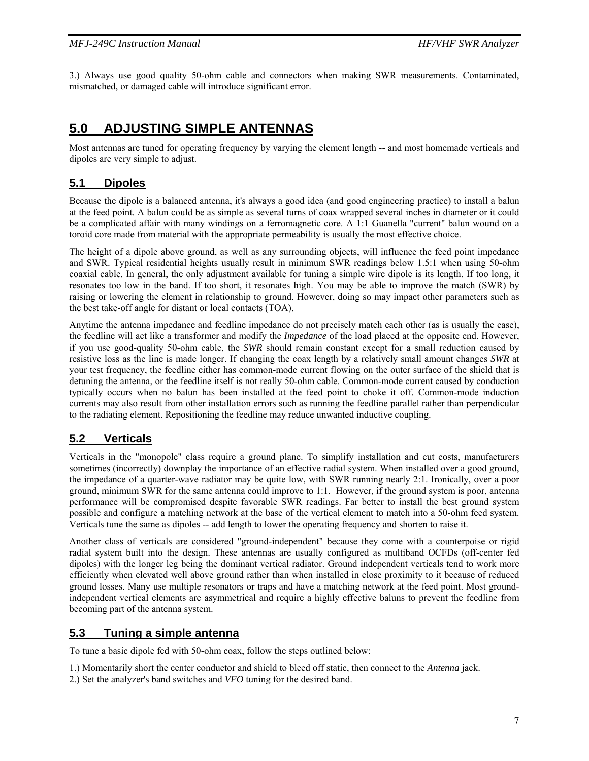3.) Always use good quality 50-ohm cable and connectors when making SWR measurements. Contaminated, mismatched, or damaged cable will introduce significant error.

## **5.0 ADJUSTING SIMPLE ANTENNAS**

Most antennas are tuned for operating frequency by varying the element length -- and most homemade verticals and dipoles are very simple to adjust.

#### **5.1 Dipoles**

Because the dipole is a balanced antenna, it's always a good idea (and good engineering practice) to install a balun at the feed point. A balun could be as simple as several turns of coax wrapped several inches in diameter or it could be a complicated affair with many windings on a ferromagnetic core. A 1:1 Guanella "current" balun wound on a toroid core made from material with the appropriate permeability is usually the most effective choice.

The height of a dipole above ground, as well as any surrounding objects, will influence the feed point impedance and SWR. Typical residential heights usually result in minimum SWR readings below 1.5:1 when using 50-ohm coaxial cable. In general, the only adjustment available for tuning a simple wire dipole is its length. If too long, it resonates too low in the band. If too short, it resonates high. You may be able to improve the match (SWR) by raising or lowering the element in relationship to ground. However, doing so may impact other parameters such as the best take-off angle for distant or local contacts (TOA).

Anytime the antenna impedance and feedline impedance do not precisely match each other (as is usually the case), the feedline will act like a transformer and modify the *Impedance* of the load placed at the opposite end. However, if you use good-quality 50-ohm cable, the *SWR* should remain constant except for a small reduction caused by resistive loss as the line is made longer. If changing the coax length by a relatively small amount changes *SWR* at your test frequency, the feedline either has common-mode current flowing on the outer surface of the shield that is detuning the antenna, or the feedline itself is not really 50-ohm cable. Common-mode current caused by conduction typically occurs when no balun has been installed at the feed point to choke it off. Common-mode induction currents may also result from other installation errors such as running the feedline parallel rather than perpendicular to the radiating element. Repositioning the feedline may reduce unwanted inductive coupling.

#### **5.2 Verticals**

Verticals in the "monopole" class require a ground plane. To simplify installation and cut costs, manufacturers sometimes (incorrectly) downplay the importance of an effective radial system. When installed over a good ground, the impedance of a quarter-wave radiator may be quite low, with SWR running nearly 2:1. Ironically, over a poor ground, minimum SWR for the same antenna could improve to 1:1. However, if the ground system is poor, antenna performance will be compromised despite favorable SWR readings. Far better to install the best ground system possible and configure a matching network at the base of the vertical element to match into a 50-ohm feed system. Verticals tune the same as dipoles -- add length to lower the operating frequency and shorten to raise it.

Another class of verticals are considered "ground-independent" because they come with a counterpoise or rigid radial system built into the design. These antennas are usually configured as multiband OCFDs (off-center fed dipoles) with the longer leg being the dominant vertical radiator. Ground independent verticals tend to work more efficiently when elevated well above ground rather than when installed in close proximity to it because of reduced ground losses. Many use multiple resonators or traps and have a matching network at the feed point. Most groundindependent vertical elements are asymmetrical and require a highly effective baluns to prevent the feedline from becoming part of the antenna system.

#### **5.3 Tuning a simple antenna**

To tune a basic dipole fed with 50-ohm coax, follow the steps outlined below:

- 1.) Momentarily short the center conductor and shield to bleed off static, then connect to the *Antenna* jack.
- 2.) Set the analyzer's band switches and *VFO* tuning for the desired band.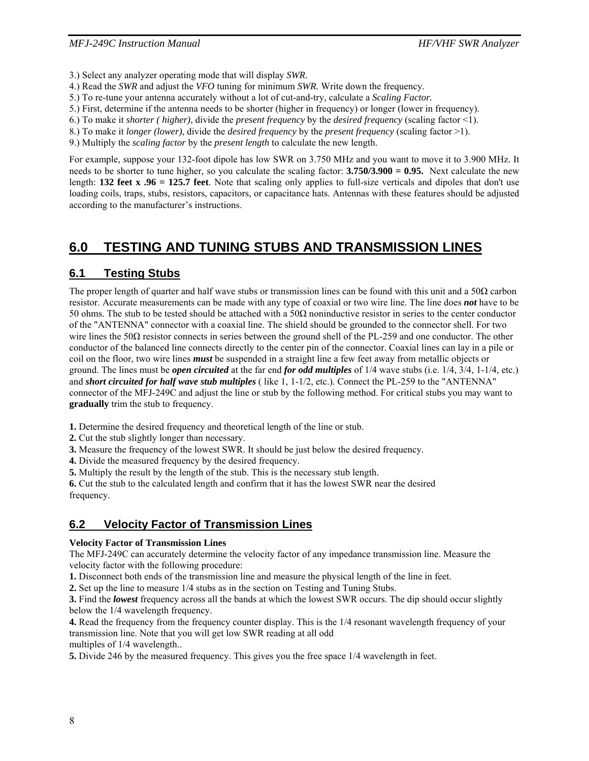- 3.) Select any analyzer operating mode that will display *SWR*.
- 4.) Read the *SWR* and adjust the *VFO* tuning for minimum *SWR.* Write down the frequency.
- 5.) To re-tune your antenna accurately without a lot of cut-and-try, calculate a *Scaling Factor.*
- 5.) First, determine if the antenna needs to be shorter (higher in frequency) or longer (lower in frequency).
- 6.) To make it *shorter ( higher)*, divide the *present frequency* by the *desired frequency* (scaling factor <1).
- 8.) To make it *longer (lower)*, divide the *desired frequency* by the *present frequency* (scaling factor >1).
- 9.) Multiply the *scaling factor* by the *present length* to calculate the new length.

For example, suppose your 132-foot dipole has low SWR on 3.750 MHz and you want to move it to 3.900 MHz. It needs to be shorter to tune higher, so you calculate the scaling factor: **3.750/3.900 = 0.95.** Next calculate the new length: **132 feet x .96 = 125.7 feet**. Note that scaling only applies to full-size verticals and dipoles that don't use loading coils, traps, stubs, resistors, capacitors, or capacitance hats. Antennas with these features should be adjusted according to the manufacturer's instructions.

## **6.0 TESTING AND TUNING STUBS AND TRANSMISSION LINES**

## **6.1 Testing Stubs**

The proper length of quarter and half wave stubs or transmission lines can be found with this unit and a 50 $\Omega$  carbon resistor. Accurate measurements can be made with any type of coaxial or two wire line. The line does *not* have to be 50 ohms. The stub to be tested should be attached with a  $50\Omega$  noninductive resistor in series to the center conductor of the "ANTENNA" connector with a coaxial line. The shield should be grounded to the connector shell. For two wire lines the 50Ω resistor connects in series between the ground shell of the PL-259 and one conductor. The other conductor of the balanced line connects directly to the center pin of the connector. Coaxial lines can lay in a pile or coil on the floor, two wire lines *must* be suspended in a straight line a few feet away from metallic objects or ground. The lines must be *open circuited* at the far end *for odd multiples* of 1/4 wave stubs (i.e. 1/4, 3/4, 1-1/4, etc.) and *short circuited for half wave stub multiples* ( like 1, 1-1/2, etc.). Connect the PL-259 to the "ANTENNA" connector of the MFJ-249C and adjust the line or stub by the following method. For critical stubs you may want to **gradually** trim the stub to frequency.

**1.** Determine the desired frequency and theoretical length of the line or stub.

**2.** Cut the stub slightly longer than necessary.

**3.** Measure the frequency of the lowest SWR. It should be just below the desired frequency.

**4.** Divide the measured frequency by the desired frequency.

**5.** Multiply the result by the length of the stub. This is the necessary stub length.

**6.** Cut the stub to the calculated length and confirm that it has the lowest SWR near the desired frequency.

## **6.2 Velocity Factor of Transmission Lines**

#### **Velocity Factor of Transmission Lines**

The MFJ-249C can accurately determine the velocity factor of any impedance transmission line. Measure the velocity factor with the following procedure:

**1.** Disconnect both ends of the transmission line and measure the physical length of the line in feet.

**2.** Set up the line to measure 1/4 stubs as in the section on Testing and Tuning Stubs.

**3.** Find the *lowest* frequency across all the bands at which the lowest SWR occurs. The dip should occur slightly below the 1/4 wavelength frequency.

**4.** Read the frequency from the frequency counter display. This is the 1/4 resonant wavelength frequency of your transmission line. Note that you will get low SWR reading at all odd multiples of 1/4 wavelength..

**5.** Divide 246 by the measured frequency. This gives you the free space 1/4 wavelength in feet.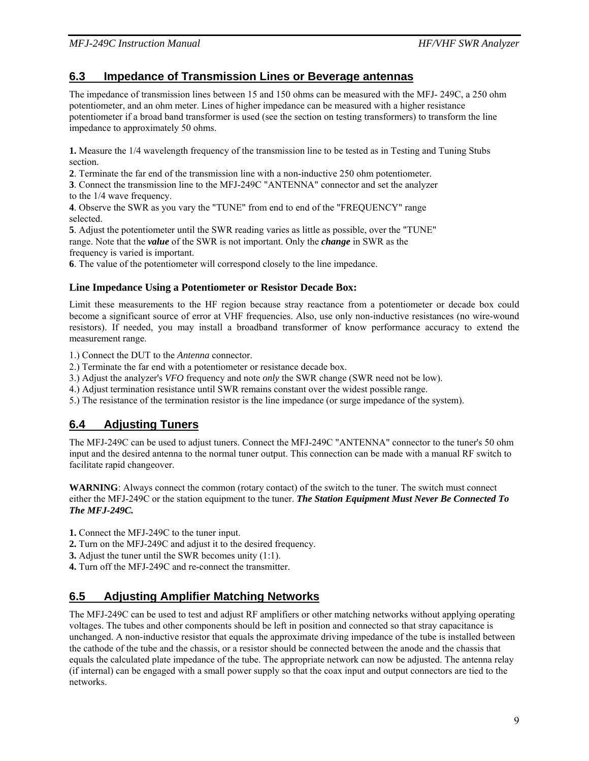#### **6.3 Impedance of Transmission Lines or Beverage antennas**

The impedance of transmission lines between 15 and 150 ohms can be measured with the MFJ- 249C, a 250 ohm potentiometer, and an ohm meter. Lines of higher impedance can be measured with a higher resistance potentiometer if a broad band transformer is used (see the section on testing transformers) to transform the line impedance to approximately 50 ohms.

**1.** Measure the 1/4 wavelength frequency of the transmission line to be tested as in Testing and Tuning Stubs section.

**2**. Terminate the far end of the transmission line with a non-inductive 250 ohm potentiometer.

**3**. Connect the transmission line to the MFJ-249C "ANTENNA" connector and set the analyzer to the 1/4 wave frequency.

**4**. Observe the SWR as you vary the "TUNE" from end to end of the "FREQUENCY" range selected.

**5**. Adjust the potentiometer until the SWR reading varies as little as possible, over the "TUNE" range. Note that the *value* of the SWR is not important. Only the *change* in SWR as the frequency is varied is important.

**6**. The value of the potentiometer will correspond closely to the line impedance.

#### **Line Impedance Using a Potentiometer or Resistor Decade Box:**

Limit these measurements to the HF region because stray reactance from a potentiometer or decade box could become a significant source of error at VHF frequencies. Also, use only non-inductive resistances (no wire-wound resistors). If needed, you may install a broadband transformer of know performance accuracy to extend the measurement range.

1.) Connect the DUT to the *Antenna* connector.

- 2.) Terminate the far end with a potentiometer or resistance decade box.
- 3.) Adjust the analyzer's *VFO* frequency and note *only* the SWR change (SWR need not be low).
- 4.) Adjust termination resistance until SWR remains constant over the widest possible range.
- 5.) The resistance of the termination resistor is the line impedance (or surge impedance of the system).

## **6.4 Adjusting Tuners**

The MFJ-249C can be used to adjust tuners. Connect the MFJ-249C "ANTENNA" connector to the tuner's 50 ohm input and the desired antenna to the normal tuner output. This connection can be made with a manual RF switch to facilitate rapid changeover.

**WARNING**: Always connect the common (rotary contact) of the switch to the tuner. The switch must connect either the MFJ-249C or the station equipment to the tuner. *The Station Equipment Must Never Be Connected To The MFJ-249C.* 

**1.** Connect the MFJ-249C to the tuner input.

- **2.** Turn on the MFJ-249C and adjust it to the desired frequency.
- **3.** Adjust the tuner until the SWR becomes unity (1:1).
- **4.** Turn off the MFJ-249C and re-connect the transmitter.

#### **6.5 Adjusting Amplifier Matching Networks**

The MFJ-249C can be used to test and adjust RF amplifiers or other matching networks without applying operating voltages. The tubes and other components should be left in position and connected so that stray capacitance is unchanged. A non-inductive resistor that equals the approximate driving impedance of the tube is installed between the cathode of the tube and the chassis, or a resistor should be connected between the anode and the chassis that equals the calculated plate impedance of the tube. The appropriate network can now be adjusted. The antenna relay (if internal) can be engaged with a small power supply so that the coax input and output connectors are tied to the networks.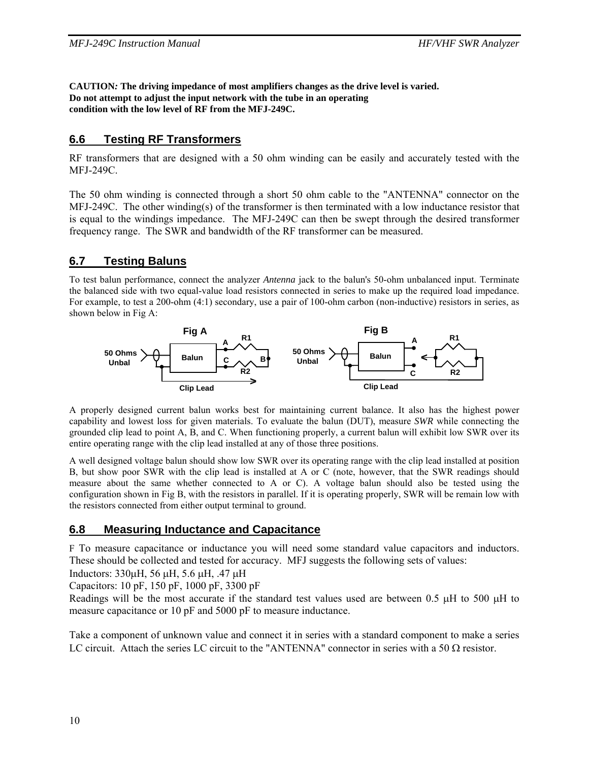**CAUTION***:* **The driving impedance of most amplifiers changes as the drive level is varied. Do not attempt to adjust the input network with the tube in an operating condition with the low level of RF from the MFJ-249C.**

## **6.6 Testing RF Transformers**

RF transformers that are designed with a 50 ohm winding can be easily and accurately tested with the MFJ-249C.

The 50 ohm winding is connected through a short 50 ohm cable to the "ANTENNA" connector on the MFJ-249C. The other winding(s) of the transformer is then terminated with a low inductance resistor that is equal to the windings impedance. The MFJ-249C can then be swept through the desired transformer frequency range. The SWR and bandwidth of the RF transformer can be measured.

#### **6.7 Testing Baluns**

To test balun performance, connect the analyzer *Antenna* jack to the balun's 50-ohm unbalanced input. Terminate the balanced side with two equal-value load resistors connected in series to make up the required load impedance. For example, to test a 200-ohm (4:1) secondary, use a pair of 100-ohm carbon (non-inductive) resistors in series, as shown below in Fig A:



A properly designed current balun works best for maintaining current balance. It also has the highest power capability and lowest loss for given materials. To evaluate the balun (DUT), measure *SWR* while connecting the grounded clip lead to point A, B, and C. When functioning properly, a current balun will exhibit low SWR over its entire operating range with the clip lead installed at any of those three positions.

A well designed voltage balun should show low SWR over its operating range with the clip lead installed at position B, but show poor SWR with the clip lead is installed at A or C (note, however, that the SWR readings should measure about the same whether connected to A or C). A voltage balun should also be tested using the configuration shown in Fig B, with the resistors in parallel. If it is operating properly, SWR will be remain low with the resistors connected from either output terminal to ground.

#### **6.8 Measuring Inductance and Capacitance**

F To measure capacitance or inductance you will need some standard value capacitors and inductors. These should be collected and tested for accuracy. MFJ suggests the following sets of values:

Inductors: 330μH, 56 μH, 5.6 μH, .47 μH

Capacitors: 10 pF, 150 pF, 1000 pF, 3300 pF

Readings will be the most accurate if the standard test values used are between 0.5 μH to 500 μH to measure capacitance or 10 pF and 5000 pF to measure inductance.

Take a component of unknown value and connect it in series with a standard component to make a series LC circuit. Attach the series LC circuit to the "ANTENNA" connector in series with a 50  $\Omega$  resistor.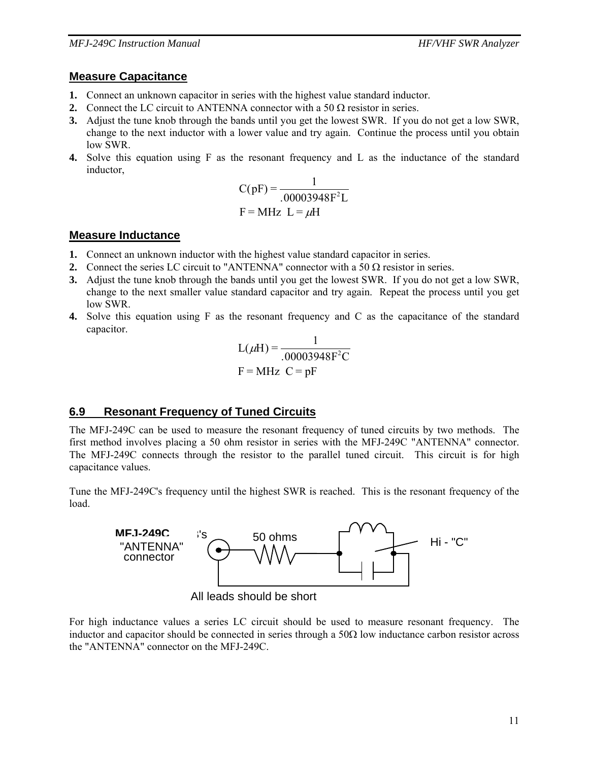#### **Measure Capacitance**

- **1.** Connect an unknown capacitor in series with the highest value standard inductor.
- **2.** Connect the LC circuit to ANTENNA connector with a 50  $\Omega$  resistor in series.
- **3.** Adjust the tune knob through the bands until you get the lowest SWR. If you do not get a low SWR, change to the next inductor with a lower value and try again. Continue the process until you obtain low SWR.
- **4.** Solve this equation using F as the resonant frequency and L as the inductance of the standard inductor,

$$
C(pF) = \frac{1}{.00003948F^2L}
$$
  
F = MHz L =  $\mu$ H

#### **Measure Inductance**

- **1.** Connect an unknown inductor with the highest value standard capacitor in series.
- **2.** Connect the series LC circuit to "ANTENNA" connector with a 50  $\Omega$  resistor in series.
- **3.** Adjust the tune knob through the bands until you get the lowest SWR. If you do not get a low SWR, change to the next smaller value standard capacitor and try again. Repeat the process until you get low SWR.
- **4.** Solve this equation using F as the resonant frequency and C as the capacitance of the standard capacitor.

$$
L(\mu H) = \frac{1}{.00003948F^2C}
$$
  
F = MHz C = pF

## **6.9 Resonant Frequency of Tuned Circuits**

The MFJ-249C can be used to measure the resonant frequency of tuned circuits by two methods. The first method involves placing a 50 ohm resistor in series with the MFJ-249C "ANTENNA" connector. The MFJ-249C connects through the resistor to the parallel tuned circuit. This circuit is for high capacitance values.

Tune the MFJ-249C's frequency until the highest SWR is reached. This is the resonant frequency of the load.



All leads should be short

For high inductance values a series LC circuit should be used to measure resonant frequency. The inductor and capacitor should be connected in series through a  $50\Omega$  low inductance carbon resistor across the "ANTENNA" connector on the MFJ-249C.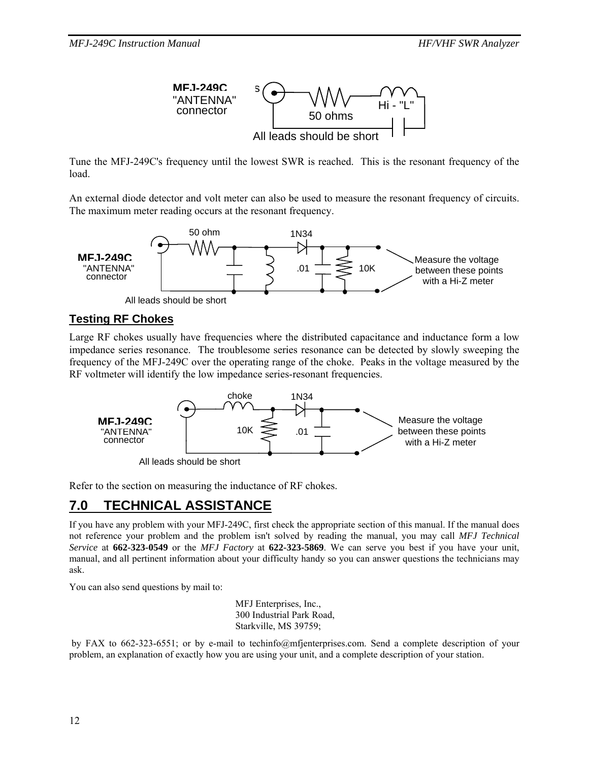

Tune the MFJ-249C's frequency until the lowest SWR is reached. This is the resonant frequency of the load.

An external diode detector and volt meter can also be used to measure the resonant frequency of circuits. The maximum meter reading occurs at the resonant frequency.



#### **Testing RF Chokes**

Large RF chokes usually have frequencies where the distributed capacitance and inductance form a low impedance series resonance. The troublesome series resonance can be detected by slowly sweeping the frequency of the MFJ-249C over the operating range of the choke. Peaks in the voltage measured by the RF voltmeter will identify the low impedance series-resonant frequencies.



Refer to the section on measuring the inductance of RF chokes.

## **7.0 TECHNICAL ASSISTANCE**

If you have any problem with your MFJ-249C, first check the appropriate section of this manual. If the manual does not reference your problem and the problem isn't solved by reading the manual, you may call *MFJ Technical Service* at **662-323-0549** or the *MFJ Factory* at **622-323-5869**. We can serve you best if you have your unit, manual, and all pertinent information about your difficulty handy so you can answer questions the technicians may ask.

You can also send questions by mail to:

MFJ Enterprises, Inc., 300 Industrial Park Road, Starkville, MS 39759;

 by FAX to 662-323-6551; or by e-mail to techinfo@mfjenterprises.com. Send a complete description of your problem, an explanation of exactly how you are using your unit, and a complete description of your station.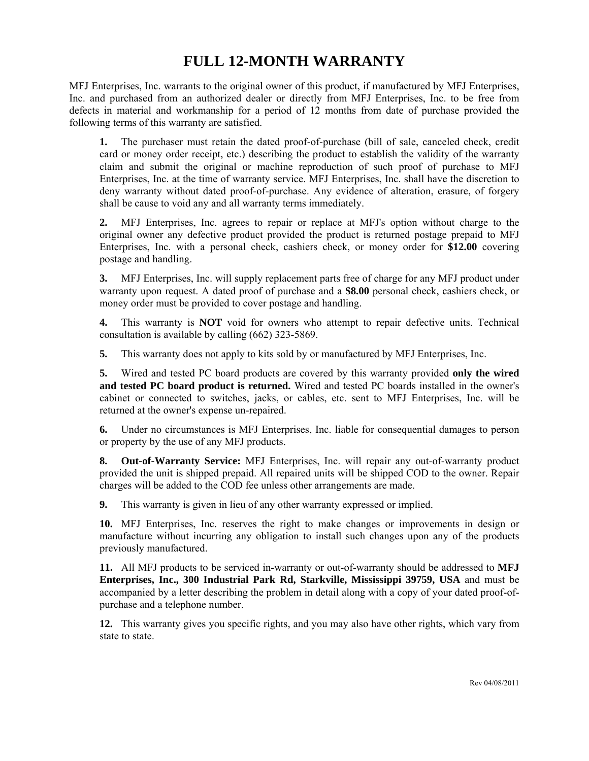# **FULL 12-MONTH WARRANTY**

MFJ Enterprises, Inc. warrants to the original owner of this product, if manufactured by MFJ Enterprises, Inc. and purchased from an authorized dealer or directly from MFJ Enterprises, Inc. to be free from defects in material and workmanship for a period of 12 months from date of purchase provided the following terms of this warranty are satisfied.

**1.** The purchaser must retain the dated proof-of-purchase (bill of sale, canceled check, credit card or money order receipt, etc.) describing the product to establish the validity of the warranty claim and submit the original or machine reproduction of such proof of purchase to MFJ Enterprises, Inc. at the time of warranty service. MFJ Enterprises, Inc. shall have the discretion to deny warranty without dated proof-of-purchase. Any evidence of alteration, erasure, of forgery shall be cause to void any and all warranty terms immediately.

**2.** MFJ Enterprises, Inc. agrees to repair or replace at MFJ's option without charge to the original owner any defective product provided the product is returned postage prepaid to MFJ Enterprises, Inc. with a personal check, cashiers check, or money order for **\$12.00** covering postage and handling.

**3.** MFJ Enterprises, Inc. will supply replacement parts free of charge for any MFJ product under warranty upon request. A dated proof of purchase and a **\$8.00** personal check, cashiers check, or money order must be provided to cover postage and handling.

**4.** This warranty is **NOT** void for owners who attempt to repair defective units. Technical consultation is available by calling (662) 323-5869.

**5.** This warranty does not apply to kits sold by or manufactured by MFJ Enterprises, Inc.

**5.** Wired and tested PC board products are covered by this warranty provided **only the wired and tested PC board product is returned.** Wired and tested PC boards installed in the owner's cabinet or connected to switches, jacks, or cables, etc. sent to MFJ Enterprises, Inc. will be returned at the owner's expense un-repaired.

**6.** Under no circumstances is MFJ Enterprises, Inc. liable for consequential damages to person or property by the use of any MFJ products.

**8. Out-of-Warranty Service:** MFJ Enterprises, Inc. will repair any out-of-warranty product provided the unit is shipped prepaid. All repaired units will be shipped COD to the owner. Repair charges will be added to the COD fee unless other arrangements are made.

**9.** This warranty is given in lieu of any other warranty expressed or implied.

**10.** MFJ Enterprises, Inc. reserves the right to make changes or improvements in design or manufacture without incurring any obligation to install such changes upon any of the products previously manufactured.

**11.** All MFJ products to be serviced in-warranty or out-of-warranty should be addressed to **MFJ Enterprises, Inc., 300 Industrial Park Rd, Starkville, Mississippi 39759, USA** and must be accompanied by a letter describing the problem in detail along with a copy of your dated proof-ofpurchase and a telephone number.

**12.** This warranty gives you specific rights, and you may also have other rights, which vary from state to state.